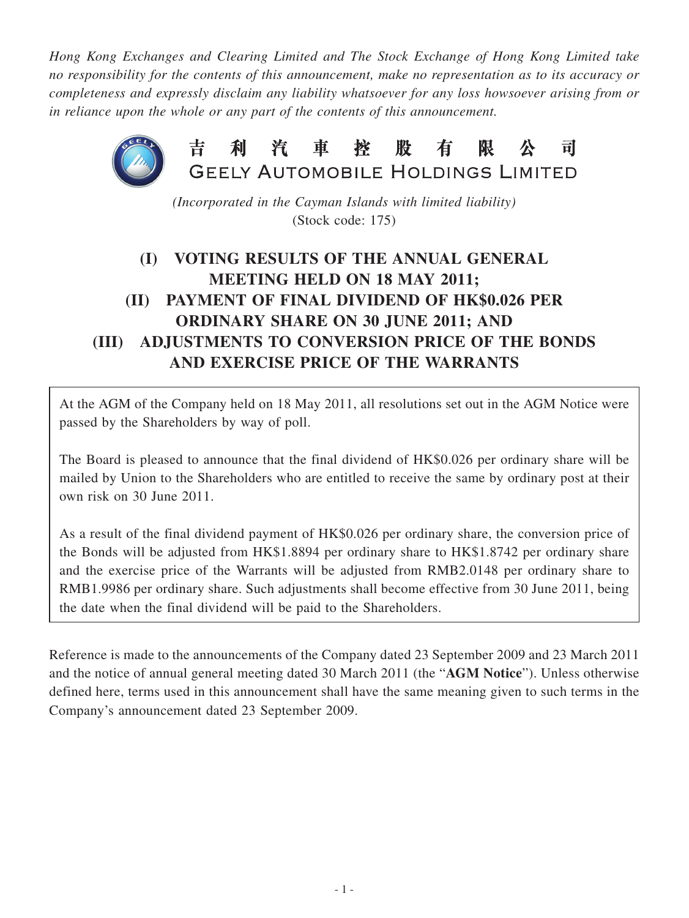*Hong Kong Exchanges and Clearing Limited and The Stock Exchange of Hong Kong Limited take no responsibility for the contents of this announcement, make no representation as to its accuracy or completeness and expressly disclaim any liability whatsoever for any loss howsoever arising from or in reliance upon the whole or any part of the contents of this announcement.*



*(Incorporated in the Cayman Islands with limited liability)* (Stock code: 175)

## **(I) VOTING RESULTS OF THE ANNUAL GENERAL MEETING HELD ON 18 MAY 2011; (II) PAYMENT OF FINAL DIVIDEND OF HK\$0.026 PER ORDINARY SHARE ON 30 JUNE 2011; AND (III) ADJUSTMENTS TO CONVERSION PRICE OF THE BONDS AND EXERCISE PRICE OF THE WARRANTS**

At the AGM of the Company held on 18 May 2011, all resolutions set out in the AGM Notice were passed by the Shareholders by way of poll.

The Board is pleased to announce that the final dividend of HK\$0.026 per ordinary share will be mailed by Union to the Shareholders who are entitled to receive the same by ordinary post at their own risk on 30 June 2011.

As a result of the final dividend payment of HK\$0.026 per ordinary share, the conversion price of the Bonds will be adjusted from HK\$1.8894 per ordinary share to HK\$1.8742 per ordinary share and the exercise price of the Warrants will be adjusted from RMB2.0148 per ordinary share to RMB1.9986 per ordinary share. Such adjustments shall become effective from 30 June 2011, being the date when the final dividend will be paid to the Shareholders.

Reference is made to the announcements of the Company dated 23 September 2009 and 23 March 2011 and the notice of annual general meeting dated 30 March 2011 (the "**AGM Notice**"). Unless otherwise defined here, terms used in this announcement shall have the same meaning given to such terms in the Company's announcement dated 23 September 2009.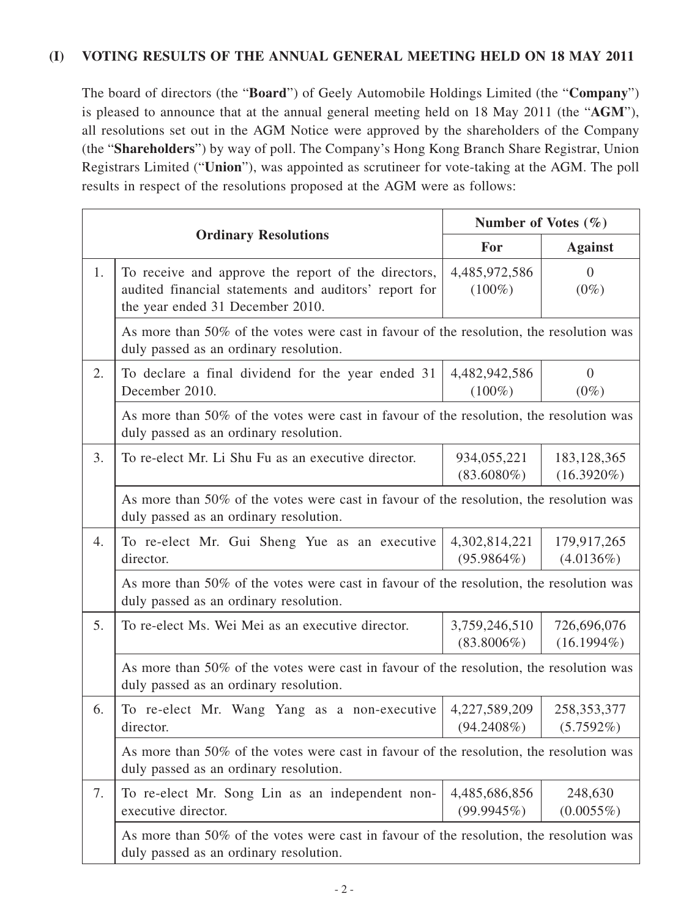## **(I) VOTING RESULTS OF THE ANNUAL GENERAL MEETING HELD ON 18 MAY 2011**

The board of directors (the "**Board**") of Geely Automobile Holdings Limited (the "**Company**") is pleased to announce that at the annual general meeting held on 18 May 2011 (the "**AGM**"), all resolutions set out in the AGM Notice were approved by the shareholders of the Company (the "**Shareholders**") by way of poll. The Company's Hong Kong Branch Share Registrar, Union Registrars Limited ("**Union**"), was appointed as scrutineer for vote-taking at the AGM. The poll results in respect of the resolutions proposed at the AGM were as follows:

|    |                                                                                                                                                  | Number of Votes $(\% )$        |                                |  |  |
|----|--------------------------------------------------------------------------------------------------------------------------------------------------|--------------------------------|--------------------------------|--|--|
|    | <b>Ordinary Resolutions</b>                                                                                                                      | For                            | <b>Against</b>                 |  |  |
| 1. | To receive and approve the report of the directors,<br>audited financial statements and auditors' report for<br>the year ended 31 December 2010. | 4,485,972,586<br>$(100\%)$     | $\Omega$<br>$(0\%)$            |  |  |
|    | As more than 50% of the votes were cast in favour of the resolution, the resolution was<br>duly passed as an ordinary resolution.                |                                |                                |  |  |
| 2. | To declare a final dividend for the year ended 31<br>December 2010.                                                                              | 4,482,942,586<br>$(100\%)$     | $\overline{0}$<br>$(0\%)$      |  |  |
|    | As more than 50% of the votes were cast in favour of the resolution, the resolution was<br>duly passed as an ordinary resolution.                |                                |                                |  |  |
| 3. | To re-elect Mr. Li Shu Fu as an executive director.                                                                                              | 934,055,221<br>$(83.6080\%)$   | 183, 128, 365<br>$(16.3920\%)$ |  |  |
|    | As more than 50% of the votes were cast in favour of the resolution, the resolution was<br>duly passed as an ordinary resolution.                |                                |                                |  |  |
| 4. | To re-elect Mr. Gui Sheng Yue as an executive<br>director.                                                                                       | 4,302,814,221<br>$(95.9864\%)$ | 179,917,265<br>(4.0136%)       |  |  |
|    | As more than 50% of the votes were cast in favour of the resolution, the resolution was<br>duly passed as an ordinary resolution.                |                                |                                |  |  |
| 5. | To re-elect Ms. Wei Mei as an executive director.                                                                                                | 3,759,246,510<br>$(83.8006\%)$ | 726,696,076<br>$(16.1994\%)$   |  |  |
|    | As more than 50% of the votes were cast in favour of the resolution, the resolution was<br>duly passed as an ordinary resolution.                |                                |                                |  |  |
| 6. | To re-elect Mr. Wang Yang as a non-executive<br>director.                                                                                        | 4,227,589,209<br>$(94.2408\%)$ | 258, 353, 377<br>$(5.7592\%)$  |  |  |
|    | As more than 50% of the votes were cast in favour of the resolution, the resolution was<br>duly passed as an ordinary resolution.                |                                |                                |  |  |
| 7. | To re-elect Mr. Song Lin as an independent non-<br>executive director.                                                                           | 4,485,686,856<br>(99.9945%)    | 248,630<br>$(0.0055\%)$        |  |  |
|    | As more than 50% of the votes were cast in favour of the resolution, the resolution was<br>duly passed as an ordinary resolution.                |                                |                                |  |  |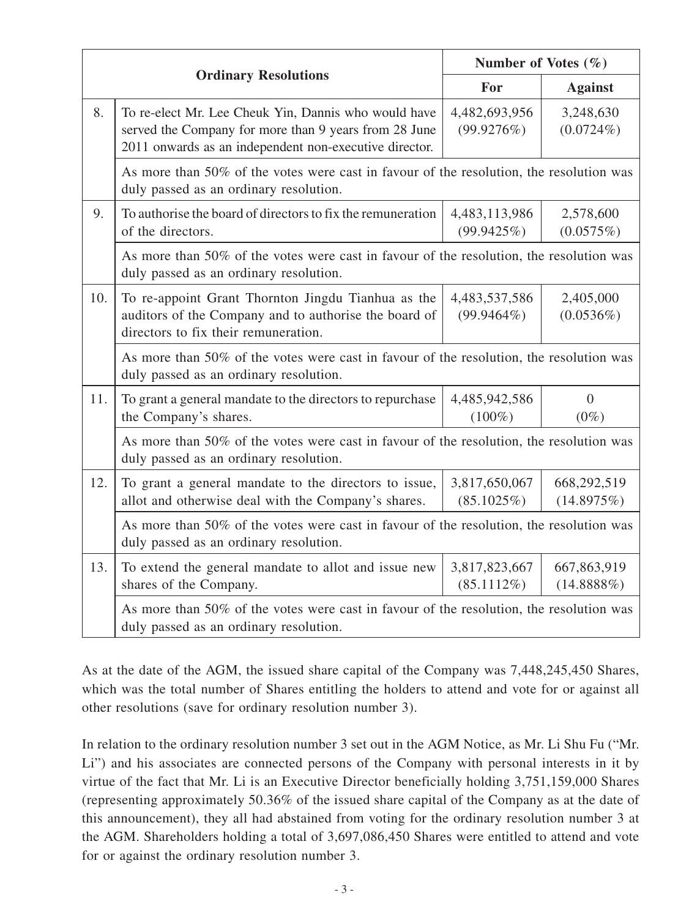|     |                                                                                                                                                                         | Number of Votes $(\% )$        |                              |  |  |
|-----|-------------------------------------------------------------------------------------------------------------------------------------------------------------------------|--------------------------------|------------------------------|--|--|
|     | <b>Ordinary Resolutions</b>                                                                                                                                             | For                            | <b>Against</b>               |  |  |
| 8.  | To re-elect Mr. Lee Cheuk Yin, Dannis who would have<br>served the Company for more than 9 years from 28 June<br>2011 onwards as an independent non-executive director. | 4,482,693,956<br>(99.9276%)    | 3,248,630<br>$(0.0724\%)$    |  |  |
|     | As more than 50% of the votes were cast in favour of the resolution, the resolution was<br>duly passed as an ordinary resolution.                                       |                                |                              |  |  |
| 9.  | To authorise the board of directors to fix the remuneration<br>of the directors.                                                                                        | 4,483,113,986<br>(99.9425%)    | 2,578,600<br>(0.0575%)       |  |  |
|     | As more than 50% of the votes were cast in favour of the resolution, the resolution was<br>duly passed as an ordinary resolution.                                       |                                |                              |  |  |
| 10. | To re-appoint Grant Thornton Jingdu Tianhua as the<br>auditors of the Company and to authorise the board of<br>directors to fix their remuneration.                     | 4,483,537,586<br>$(99.9464\%)$ | 2,405,000<br>$(0.0536\%)$    |  |  |
|     | As more than 50% of the votes were cast in favour of the resolution, the resolution was<br>duly passed as an ordinary resolution.                                       |                                |                              |  |  |
| 11. | To grant a general mandate to the directors to repurchase<br>the Company's shares.                                                                                      | 4,485,942,586<br>$(100\%)$     | $\overline{0}$<br>$(0\%)$    |  |  |
|     | As more than 50% of the votes were cast in favour of the resolution, the resolution was<br>duly passed as an ordinary resolution.                                       |                                |                              |  |  |
| 12. | To grant a general mandate to the directors to issue,<br>allot and otherwise deal with the Company's shares.                                                            | 3,817,650,067<br>(85.1025%)    | 668,292,519<br>(14.8975%)    |  |  |
|     | As more than 50% of the votes were cast in favour of the resolution, the resolution was<br>duly passed as an ordinary resolution.                                       |                                |                              |  |  |
| 13. | To extend the general mandate to allot and issue new<br>shares of the Company.                                                                                          | 3,817,823,667<br>(85.1112%)    | 667,863,919<br>$(14.8888\%)$ |  |  |
|     | As more than 50% of the votes were cast in favour of the resolution, the resolution was<br>duly passed as an ordinary resolution.                                       |                                |                              |  |  |

As at the date of the AGM, the issued share capital of the Company was 7,448,245,450 Shares, which was the total number of Shares entitling the holders to attend and vote for or against all other resolutions (save for ordinary resolution number 3).

In relation to the ordinary resolution number 3 set out in the AGM Notice, as Mr. Li Shu Fu ("Mr. Li") and his associates are connected persons of the Company with personal interests in it by virtue of the fact that Mr. Li is an Executive Director beneficially holding 3,751,159,000 Shares (representing approximately 50.36% of the issued share capital of the Company as at the date of this announcement), they all had abstained from voting for the ordinary resolution number 3 at the AGM. Shareholders holding a total of 3,697,086,450 Shares were entitled to attend and vote for or against the ordinary resolution number 3.